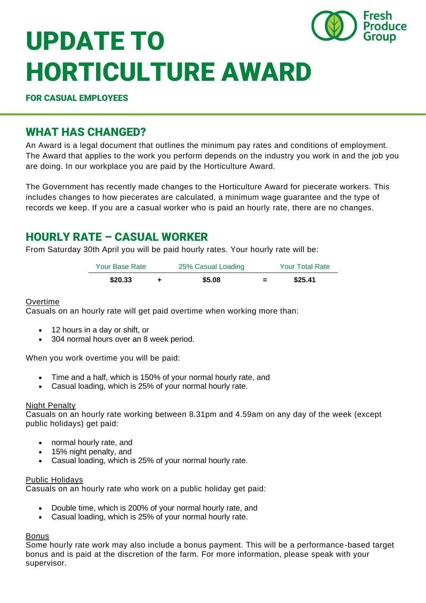

# UPDATE TO HORTICULTURE AWARD

FOR CASUAL EMPLOYEES

# WHAT HAS CHANGED?

An Award is a legal document that outlines the minimum pay rates and conditions of employment. The Award that applies to the work you perform depends on the industry you work in and the job you are doing. In our workplace you are paid by the Horticulture Award.

The Government has recently made changes to the Horticulture Award for piecerate workers. This includes changes to how piecerates are calculated, a minimum wage guarantee and the type of records we keep. If you are a casual worker who is paid an hourly rate, there are no changes.

## HOURLY RATE – CASUAL WORKER

From Saturday 30th April you will be paid hourly rates. Your hourly rate will be:

| Your Base Rate | 25% Casual Loading | <b>Your Total Rate</b> |         |
|----------------|--------------------|------------------------|---------|
| \$20.33        | \$5.08             | =                      | \$25.41 |

### Overtime

Casuals on an hourly rate will get paid overtime when working more than:

- 12 hours in a day or shift, or
- 304 normal hours over an 8 week period.

When you work overtime you will be paid:

- Time and a half, which is 150% of your normal hourly rate, and
- Casual loading, which is 25% of your normal hourly rate.

### Night Penalty

Casuals on an hourly rate working between 8.31pm and 4.59am on any day of the week (except public holidays) get paid:

- normal hourly rate, and
- 15% night penalty, and
- Casual loading, which is 25% of your normal hourly rate.

### Public Holidays

Casuals on an hourly rate who work on a public holiday get paid:

- Double time, which is 200% of your normal hourly rate, and
- Casual loading, which is 25% of your normal hourly rate.

## Bonus

Some hourly rate work may also include a bonus payment. This will be a performance-based target bonus and is paid at the discretion of the farm. For more information, please speak with your supervisor.